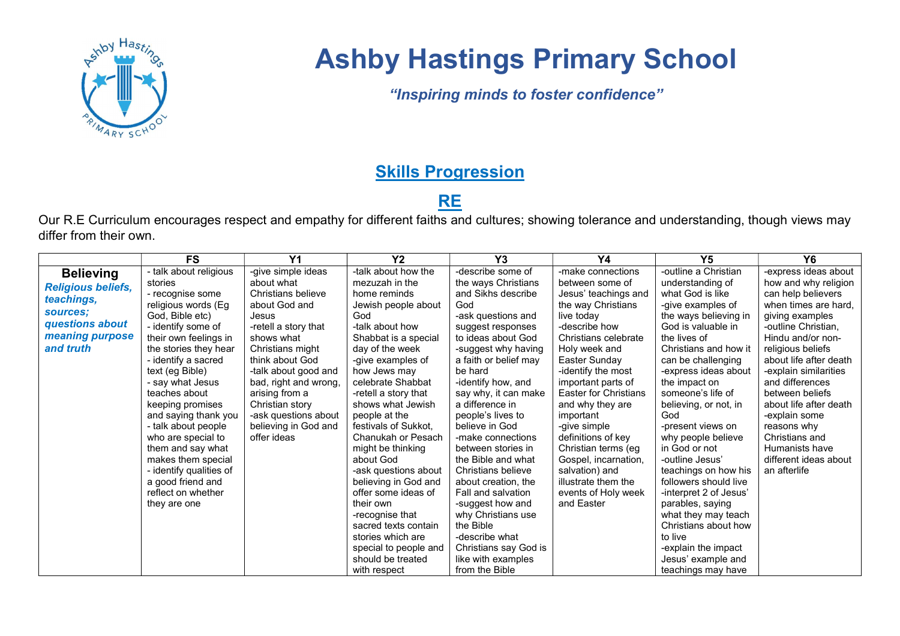

# Ashby Hastings Primary School

"Inspiring minds to foster confidence"

### **Skills Progression**

## **RE**

Our R.E Curriculum encourages respect and empathy for different faiths and cultures; showing tolerance and understanding, though views may differ from their own.

|                                                             | <b>FS</b>               | Y <sub>1</sub>        | Y <sub>2</sub>        | Y3                    | Y4                           | Y <sub>5</sub>         | <b>Y6</b>              |
|-------------------------------------------------------------|-------------------------|-----------------------|-----------------------|-----------------------|------------------------------|------------------------|------------------------|
| <b>Believing</b><br><b>Religious beliefs,</b><br>teachings, | - talk about religious  | -give simple ideas    | -talk about how the   | -describe some of     | -make connections            | -outline a Christian   | -express ideas about   |
|                                                             | stories                 | about what            | mezuzah in the        | the ways Christians   | between some of              | understanding of       | how and why religion   |
|                                                             | - recognise some        | Christians believe    | home reminds          | and Sikhs describe    | Jesus' teachings and         | what God is like       | can help believers     |
|                                                             | religious words (Eg     | about God and         | Jewish people about   | God                   | the way Christians           | -give examples of      | when times are hard.   |
| sources:                                                    | God, Bible etc)         | Jesus                 | God                   | -ask questions and    | live today                   | the ways believing in  | giving examples        |
| questions about                                             | - identify some of      | -retell a story that  | -talk about how       | suggest responses     | -describe how                | God is valuable in     | -outline Christian,    |
| meaning purpose                                             | their own feelings in   | shows what            | Shabbat is a special  | to ideas about God    | Christians celebrate         | the lives of           | Hindu and/or non-      |
| and truth                                                   | the stories they hear   | Christians might      | day of the week       | -suggest why having   | Holy week and                | Christians and how it  | religious beliefs      |
|                                                             | - identify a sacred     | think about God       | -give examples of     | a faith or belief may | Easter Sunday                | can be challenging     | about life after death |
|                                                             | text (eg Bible)         | -talk about good and  | how Jews may          | be hard               | -identify the most           | -express ideas about   | -explain similarities  |
|                                                             | - say what Jesus        | bad, right and wrong, | celebrate Shabbat     | -identify how, and    | important parts of           | the impact on          | and differences        |
|                                                             | teaches about           | arising from a        | -retell a story that  | say why, it can make  | <b>Easter for Christians</b> | someone's life of      | between beliefs        |
|                                                             | keeping promises        | Christian story       | shows what Jewish     | a difference in       | and why they are             | believing, or not, in  | about life after death |
|                                                             | and saying thank you    | -ask questions about  | people at the         | people's lives to     | important                    | God                    | -explain some          |
|                                                             | - talk about people     | believing in God and  | festivals of Sukkot.  | believe in God        | -give simple                 | -present views on      | reasons why            |
|                                                             | who are special to      | offer ideas           | Chanukah or Pesach    | -make connections     | definitions of key           | why people believe     | Christians and         |
|                                                             | them and say what       |                       | might be thinking     | between stories in    | Christian terms (eg          | in God or not          | Humanists have         |
|                                                             | makes them special      |                       | about God             | the Bible and what    | Gospel, incarnation,         | -outline Jesus'        | different ideas about  |
|                                                             | - identify qualities of |                       | -ask questions about  | Christians believe    | salvation) and               | teachings on how his   | an afterlife           |
|                                                             | a good friend and       |                       | believing in God and  | about creation, the   | illustrate them the          | followers should live  |                        |
|                                                             | reflect on whether      |                       | offer some ideas of   | Fall and salvation    | events of Holy week          | -interpret 2 of Jesus' |                        |
|                                                             | they are one            |                       | their own             | -suggest how and      | and Easter                   | parables, saying       |                        |
|                                                             |                         |                       | -recognise that       | why Christians use    |                              | what they may teach    |                        |
|                                                             |                         |                       | sacred texts contain  | the Bible             |                              | Christians about how   |                        |
|                                                             |                         |                       | stories which are     | -describe what        |                              | to live                |                        |
|                                                             |                         |                       | special to people and | Christians say God is |                              | -explain the impact    |                        |
|                                                             |                         |                       | should be treated     | like with examples    |                              | Jesus' example and     |                        |
|                                                             |                         |                       | with respect          | from the Bible        |                              | teachings may have     |                        |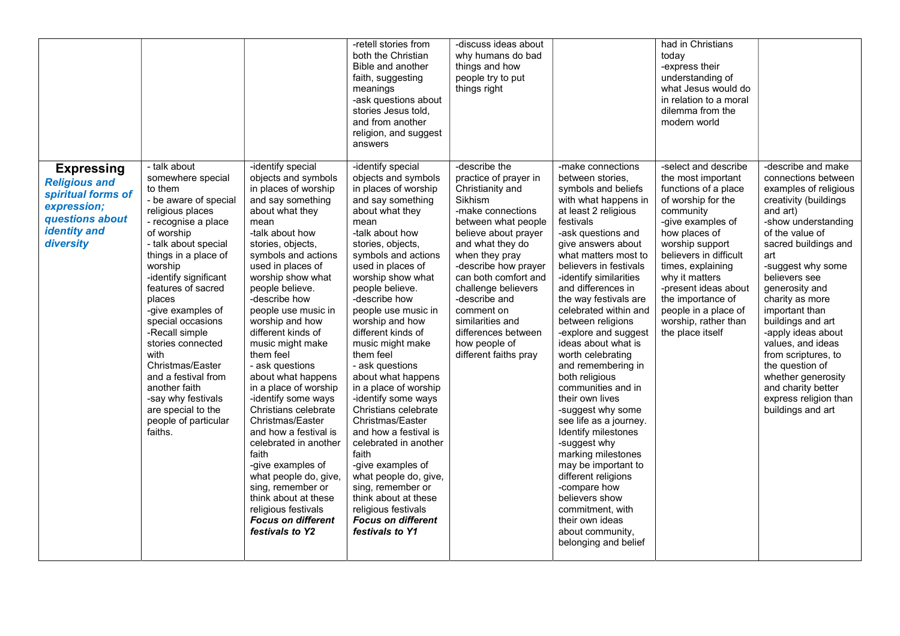|                                                                                                                                       |                                                                                                                                                                                                                                                                                                                                                                                                                                                                                        |                                                                                                                                                                                                                                                                                                                                                                                                                                                                                                                                                                                                                                                                                                                                  | -retell stories from<br>both the Christian<br>Bible and another<br>faith, suggesting<br>meanings<br>-ask questions about<br>stories Jesus told,<br>and from another<br>religion, and suggest<br>answers                                                                                                                                                                                                                                                                                                                                                                                                                                                                                                                          | -discuss ideas about<br>why humans do bad<br>things and how<br>people try to put<br>things right                                                                                                                                                                                                                                                                                  |                                                                                                                                                                                                                                                                                                                                                                                                                                                                                                                                                                                                                                                                                                                                                                                    | had in Christians<br>today<br>-express their<br>understanding of<br>what Jesus would do<br>in relation to a moral<br>dilemma from the<br>modern world                                                                                                                                                                                            |                                                                                                                                                                                                                                                                                                                                                                                                                                                                                   |
|---------------------------------------------------------------------------------------------------------------------------------------|----------------------------------------------------------------------------------------------------------------------------------------------------------------------------------------------------------------------------------------------------------------------------------------------------------------------------------------------------------------------------------------------------------------------------------------------------------------------------------------|----------------------------------------------------------------------------------------------------------------------------------------------------------------------------------------------------------------------------------------------------------------------------------------------------------------------------------------------------------------------------------------------------------------------------------------------------------------------------------------------------------------------------------------------------------------------------------------------------------------------------------------------------------------------------------------------------------------------------------|----------------------------------------------------------------------------------------------------------------------------------------------------------------------------------------------------------------------------------------------------------------------------------------------------------------------------------------------------------------------------------------------------------------------------------------------------------------------------------------------------------------------------------------------------------------------------------------------------------------------------------------------------------------------------------------------------------------------------------|-----------------------------------------------------------------------------------------------------------------------------------------------------------------------------------------------------------------------------------------------------------------------------------------------------------------------------------------------------------------------------------|------------------------------------------------------------------------------------------------------------------------------------------------------------------------------------------------------------------------------------------------------------------------------------------------------------------------------------------------------------------------------------------------------------------------------------------------------------------------------------------------------------------------------------------------------------------------------------------------------------------------------------------------------------------------------------------------------------------------------------------------------------------------------------|--------------------------------------------------------------------------------------------------------------------------------------------------------------------------------------------------------------------------------------------------------------------------------------------------------------------------------------------------|-----------------------------------------------------------------------------------------------------------------------------------------------------------------------------------------------------------------------------------------------------------------------------------------------------------------------------------------------------------------------------------------------------------------------------------------------------------------------------------|
| <b>Expressing</b><br><b>Religious and</b><br>spiritual forms of<br>expression;<br>questions about<br><b>identity</b> and<br>diversity | - talk about<br>somewhere special<br>to them<br>- be aware of special<br>religious places<br>- recognise a place<br>of worship<br>- talk about special<br>things in a place of<br>worship<br>-identify significant<br>features of sacred<br>places<br>-give examples of<br>special occasions<br>-Recall simple<br>stories connected<br>with<br>Christmas/Easter<br>and a festival from<br>another faith<br>-say why festivals<br>are special to the<br>people of particular<br>faiths. | -identify special<br>objects and symbols<br>in places of worship<br>and say something<br>about what they<br>mean<br>-talk about how<br>stories, objects,<br>symbols and actions<br>used in places of<br>worship show what<br>people believe.<br>-describe how<br>people use music in<br>worship and how<br>different kinds of<br>music might make<br>them feel<br>- ask questions<br>about what happens<br>in a place of worship<br>-identify some ways<br>Christians celebrate<br>Christmas/Easter<br>and how a festival is<br>celebrated in another<br>faith<br>-give examples of<br>what people do, give,<br>sing, remember or<br>think about at these<br>religious festivals<br><b>Focus on different</b><br>festivals to Y2 | -identify special<br>objects and symbols<br>in places of worship<br>and say something<br>about what they<br>mean<br>-talk about how<br>stories, objects,<br>symbols and actions<br>used in places of<br>worship show what<br>people believe.<br>-describe how<br>people use music in<br>worship and how<br>different kinds of<br>music might make<br>them feel<br>- ask questions<br>about what happens<br>in a place of worship<br>-identify some ways<br>Christians celebrate<br>Christmas/Easter<br>and how a festival is<br>celebrated in another<br>faith<br>-give examples of<br>what people do, give,<br>sing, remember or<br>think about at these<br>religious festivals<br><b>Focus on different</b><br>festivals to Y1 | -describe the<br>practice of prayer in<br>Christianity and<br><b>Sikhism</b><br>-make connections<br>between what people<br>believe about prayer<br>and what they do<br>when they pray<br>-describe how prayer<br>can both comfort and<br>challenge believers<br>-describe and<br>comment on<br>similarities and<br>differences between<br>how people of<br>different faiths pray | -make connections<br>between stories,<br>symbols and beliefs<br>with what happens in<br>at least 2 religious<br>festivals<br>-ask questions and<br>give answers about<br>what matters most to<br>believers in festivals<br>-identify similarities<br>and differences in<br>the way festivals are<br>celebrated within and<br>between religions<br>-explore and suggest<br>ideas about what is<br>worth celebrating<br>and remembering in<br>both religious<br>communities and in<br>their own lives<br>-suggest why some<br>see life as a journey.<br>Identify milestones<br>-suggest why<br>marking milestones<br>may be important to<br>different religions<br>-compare how<br>believers show<br>commitment, with<br>their own ideas<br>about community,<br>belonging and belief | -select and describe<br>the most important<br>functions of a place<br>of worship for the<br>community<br>-give examples of<br>how places of<br>worship support<br>believers in difficult<br>times, explaining<br>why it matters<br>-present ideas about<br>the importance of<br>people in a place of<br>worship, rather than<br>the place itself | -describe and make<br>connections between<br>examples of religious<br>creativity (buildings<br>and art)<br>-show understanding<br>of the value of<br>sacred buildings and<br>art<br>-suggest why some<br>believers see<br>generosity and<br>charity as more<br>important than<br>buildings and art<br>-apply ideas about<br>values, and ideas<br>from scriptures, to<br>the question of<br>whether generosity<br>and charity better<br>express religion than<br>buildings and art |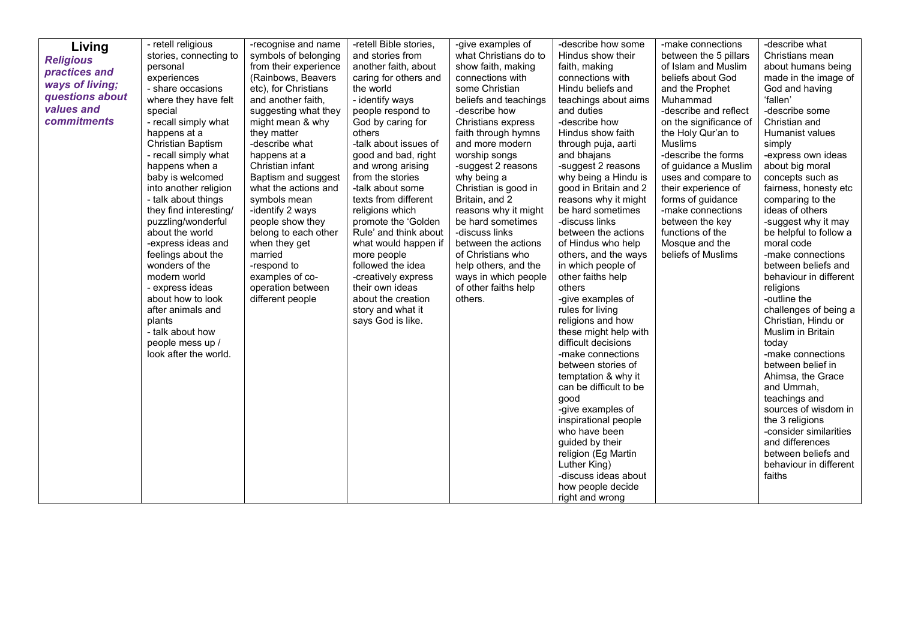| Living             | - retell religious<br>stories, connecting to | -recognise and name<br>symbols of belonging | -retell Bible stories,<br>and stories from | -give examples of<br>what Christians do to | -describe how some<br>Hindus show their | -make connections<br>between the 5 pillars  | -describe what<br>Christians mean     |
|--------------------|----------------------------------------------|---------------------------------------------|--------------------------------------------|--------------------------------------------|-----------------------------------------|---------------------------------------------|---------------------------------------|
| <b>Religious</b>   | personal                                     | from their experience                       | another faith, about                       | show faith, making                         | faith, making                           | of Islam and Muslim                         | about humans being                    |
| practices and      | experiences                                  | (Rainbows, Beavers                          | caring for others and                      | connections with                           | connections with                        | beliefs about God                           | made in the image of                  |
| ways of living;    | - share occasions                            | etc), for Christians                        | the world                                  | some Christian                             | Hindu beliefs and                       | and the Prophet                             | God and having                        |
| questions about    | where they have felt                         | and another faith,                          | - identify ways                            | beliefs and teachings                      | teachings about aims                    | Muhammad                                    | 'fallen'                              |
| values and         | special                                      | suggesting what they                        |                                            | -describe how                              | and duties                              | -describe and reflect                       | -describe some                        |
| <b>commitments</b> | - recall simply what                         | might mean & why                            | people respond to<br>God by caring for     | Christians express                         | -describe how                           | on the significance of                      | Christian and                         |
|                    | happens at a                                 | they matter                                 | others                                     | faith through hymns                        | Hindus show faith                       | the Holy Qur'an to                          | Humanist values                       |
|                    | <b>Christian Baptism</b>                     | -describe what                              | -talk about issues of                      | and more modern                            |                                         | <b>Muslims</b>                              |                                       |
|                    |                                              |                                             |                                            |                                            | through puja, aarti                     |                                             | simply                                |
|                    | - recall simply what                         | happens at a<br>Christian infant            | good and bad, right                        | worship songs                              | and bhajans                             | -describe the forms<br>of guidance a Muslim | -express own ideas<br>about big moral |
|                    | happens when a                               |                                             | and wrong arising                          | -suggest 2 reasons                         | -suggest 2 reasons                      |                                             |                                       |
|                    | baby is welcomed                             | Baptism and suggest                         | from the stories                           | why being a                                | why being a Hindu is                    | uses and compare to                         | concepts such as                      |
|                    | into another religion                        | what the actions and                        | -talk about some                           | Christian is good in                       | good in Britain and 2                   | their experience of                         | fairness, honesty etc                 |
|                    | - talk about things                          | symbols mean                                | texts from different                       | Britain, and 2                             | reasons why it might                    | forms of guidance                           | comparing to the                      |
|                    | they find interesting/                       | -identify 2 ways                            | religions which                            | reasons why it might                       | be hard sometimes                       | -make connections                           | ideas of others                       |
|                    | puzzling/wonderful                           | people show they                            | promote the 'Golden                        | be hard sometimes                          | -discuss links                          | between the key                             | -suggest why it may                   |
|                    | about the world                              | belong to each other                        | Rule' and think about                      | -discuss links                             | between the actions                     | functions of the                            | be helpful to follow a                |
|                    | -express ideas and                           | when they get                               | what would happen if                       | between the actions                        | of Hindus who help                      | Mosque and the                              | moral code                            |
|                    | feelings about the                           | married                                     | more people                                | of Christians who                          | others, and the ways                    | beliefs of Muslims                          | -make connections                     |
|                    | wonders of the                               | -respond to                                 | followed the idea                          | help others, and the                       | in which people of                      |                                             | between beliefs and                   |
|                    | modern world                                 | examples of co-                             | -creatively express                        | ways in which people                       | other faiths help                       |                                             | behaviour in different                |
|                    | - express ideas                              | operation between                           | their own ideas                            | of other faiths help                       | others                                  |                                             | religions                             |
|                    | about how to look                            | different people                            | about the creation                         | others.                                    | -give examples of                       |                                             | -outline the                          |
|                    | after animals and                            |                                             | story and what it                          |                                            | rules for living                        |                                             | challenges of being a                 |
|                    | plants                                       |                                             | says God is like.                          |                                            | religions and how                       |                                             | Christian, Hindu or                   |
|                    | - talk about how                             |                                             |                                            |                                            | these might help with                   |                                             | Muslim in Britain                     |
|                    | people mess up /                             |                                             |                                            |                                            | difficult decisions                     |                                             | today                                 |
|                    | look after the world.                        |                                             |                                            |                                            | -make connections                       |                                             | -make connections                     |
|                    |                                              |                                             |                                            |                                            | between stories of                      |                                             | between belief in                     |
|                    |                                              |                                             |                                            |                                            | temptation & why it                     |                                             | Ahimsa, the Grace                     |
|                    |                                              |                                             |                                            |                                            | can be difficult to be                  |                                             | and Ummah,                            |
|                    |                                              |                                             |                                            |                                            | good                                    |                                             | teachings and                         |
|                    |                                              |                                             |                                            |                                            | -give examples of                       |                                             | sources of wisdom in                  |
|                    |                                              |                                             |                                            |                                            | inspirational people                    |                                             | the 3 religions                       |
|                    |                                              |                                             |                                            |                                            | who have been                           |                                             | -consider similarities                |
|                    |                                              |                                             |                                            |                                            | guided by their                         |                                             | and differences                       |
|                    |                                              |                                             |                                            |                                            | religion (Eg Martin                     |                                             | between beliefs and                   |
|                    |                                              |                                             |                                            |                                            | Luther King)                            |                                             | behaviour in different                |
|                    |                                              |                                             |                                            |                                            | -discuss ideas about                    |                                             | faiths                                |
|                    |                                              |                                             |                                            |                                            | how people decide                       |                                             |                                       |
|                    |                                              |                                             |                                            |                                            | right and wrong                         |                                             |                                       |